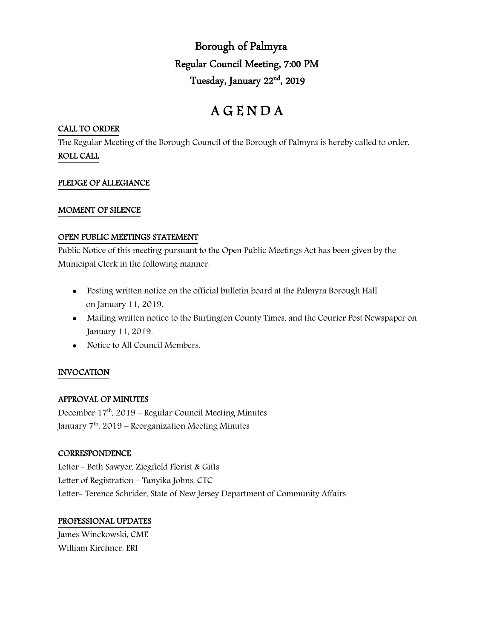Borough of Palmyra Regular Council Meeting, 7:00 PM Tuesday, January 22<sup>nd</sup>, 2019

# A G E N D A

## CALL TO ORDER

The Regular Meeting of the Borough Council of the Borough of Palmyra is hereby called to order. ROLL CALL

## PLEDGE OF ALLEGIANCE

#### MOMENT OF SILENCE

#### OPEN PUBLIC MEETINGS STATEMENT

Public Notice of this meeting pursuant to the Open Public Meetings Act has been given by the Municipal Clerk in the following manner:

- Posting written notice on the official bulletin board at the Palmyra Borough Hall on January 11, 2019.
- Mailing written notice to the Burlington County Times, and the Courier Post Newspaper on January 11, 2019.
- Notice to All Council Members.

## INVOCATION

## APPROVAL OF MINUTES

December  $17<sup>th</sup>$ , 2019 – Regular Council Meeting Minutes January 7<sup>th</sup>, 2019 – Reorganization Meeting Minutes

#### **CORRESPONDENCE**

Letter - Beth Sawyer, Ziegfield Florist & Gifts Letter of Registration – Tanyika Johns, CTC Letter- Terence Schrider, State of New Jersey Department of Community Affairs

#### PROFESSIONAL UPDATES

James Winckowski, CME William Kirchner, ERI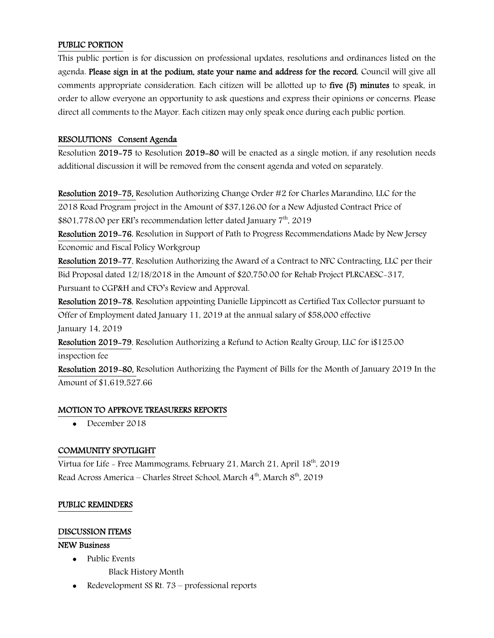## PUBLIC PORTION

This public portion is for discussion on professional updates, resolutions and ordinances listed on the agenda. Please sign in at the podium, state your name and address for the record. Council will give all comments appropriate consideration. Each citizen will be allotted up to five (5) minutes to speak, in order to allow everyone an opportunity to ask questions and express their opinions or concerns. Please direct all comments to the Mayor. Each citizen may only speak once during each public portion.

#### RESOLUTIONS Consent Agenda

Resolution 2019-75 to Resolution 2019-80 will be enacted as a single motion, if any resolution needs additional discussion it will be removed from the consent agenda and voted on separately.

Resolution 2019-75, Resolution Authorizing Change Order #2 for Charles Marandino, LLC for the 2018 Road Program project in the Amount of \$37,126.00 for a New Adjusted Contract Price of \$801,778.00 per ERI's recommendation letter dated January 7<sup>th</sup>, 2019

Resolution 2019-76, Resolution in Support of Path to Progress Recommendations Made by New Jersey Economic and Fiscal Policy Workgroup

Resolution 2019-77, Resolution Authorizing the Award of a Contract to NFC Contracting, LLC per their Bid Proposal dated 12/18/2018 in the Amount of \$20,750.00 for Rehab Project PLRCAESC-317, Pursuant to CGP&H and CFO's Review and Approval.

Resolution 2019-78, Resolution appointing Danielle Lippincott as Certified Tax Collector pursuant to Offer of Employment dated January 11, 2019 at the annual salary of \$58,000 effective January 14, 2019

Resolution 2019-79, Resolution Authorizing a Refund to Action Realty Group, LLC for i\$125.00 inspection fee

Resolution 2019-80, Resolution Authorizing the Payment of Bills for the Month of January 2019 In the Amount of \$1,619,527.66

#### MOTION TO APPROVE TREASURERS REPORTS

• December 2018

## COMMUNITY SPOTLIGHT

Virtua for Life - Free Mammograms, February 21, March 21, April  $18<sup>th</sup>$ , 2019 Read Across America – Charles Street School, March 4<sup>th</sup>, March 8<sup>th</sup>, 2019

#### PUBLIC REMINDERS

#### DISCUSSION ITEMS

#### NEW Business

- Public Events
	- Black History Month
- Redevelopment SS Rt. 73 professional reports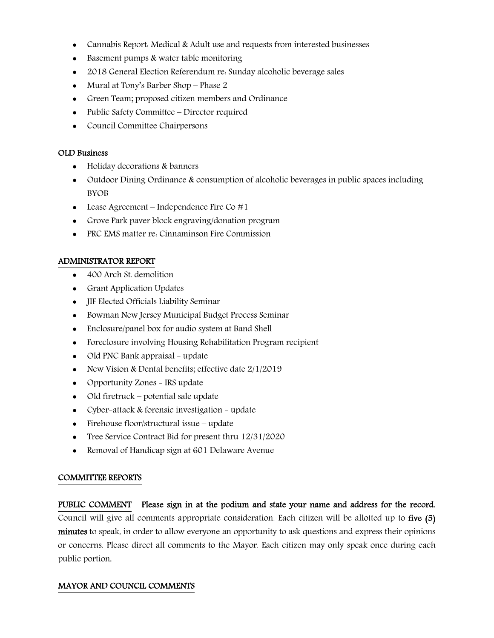- Cannabis Report: Medical & Adult use and requests from interested businesses
- Basement pumps & water table monitoring
- 2018 General Election Referendum re: Sunday alcoholic beverage sales
- Mural at Tony's Barber Shop Phase 2
- Green Team; proposed citizen members and Ordinance
- Public Safety Committee Director required
- Council Committee Chairpersons

#### OLD Business

- Holiday decorations & banners
- Outdoor Dining Ordinance & consumption of alcoholic beverages in public spaces including BYOB
- Lease Agreement Independence Fire Co  $#1$
- Grove Park paver block engraving/donation program
- PRC EMS matter re. Cinnaminson Fire Commission

#### ADMINISTRATOR REPORT

- 400 Arch St. demolition
- Grant Application Updates
- JIF Elected Officials Liability Seminar
- Bowman New Jersey Municipal Budget Process Seminar
- Enclosure/panel box for audio system at Band Shell
- Foreclosure involving Housing Rehabilitation Program recipient
- Old PNC Bank appraisal update
- New Vision & Dental benefits; effective date  $2/1/2019$
- Opportunity Zones IRS update
- Old firetruck potential sale update
- Cyber-attack & forensic investigation update
- Firehouse floor/structural issue update
- Tree Service Contract Bid for present thru  $12/31/2020$
- Removal of Handicap sign at 601 Delaware Avenue

#### COMMITTEE REPORTS

PUBLIC COMMENT Please sign in at the podium and state your name and address for the record. Council will give all comments appropriate consideration. Each citizen will be allotted up to five (5) minutes to speak, in order to allow everyone an opportunity to ask questions and express their opinions or concerns. Please direct all comments to the Mayor. Each citizen may only speak once during each public portion.

#### MAYOR AND COUNCIL COMMENTS